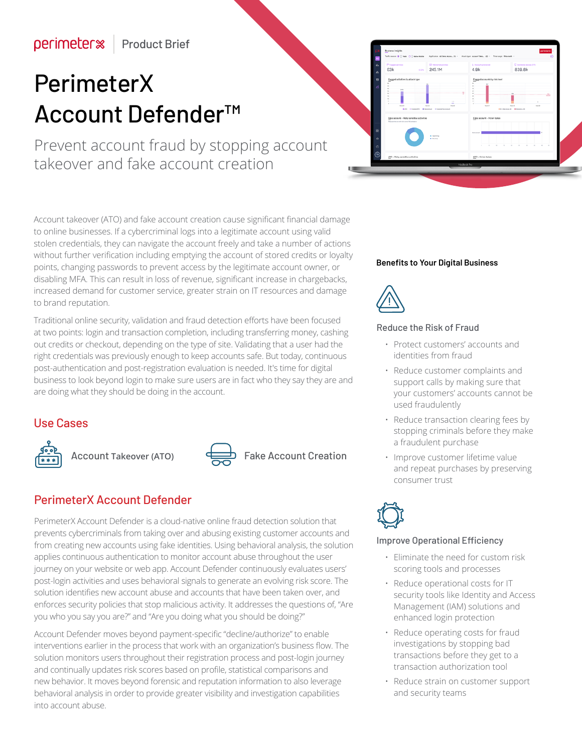# PerimeterX Account Defender™

Prevent account fraud by stopping account takeover and fake account creation

Account takeover (ATO) and fake account creation cause significant financial damage to online businesses. If a cybercriminal logs into a legitimate account using valid stolen credentials, they can navigate the account freely and take a number of actions without further verification including emptying the account of stored credits or loyalty points, changing passwords to prevent access by the legitimate account owner, or disabling MFA. This can result in loss of revenue, significant increase in chargebacks, increased demand for customer service, greater strain on IT resources and damage to brand reputation.

Traditional online security, validation and fraud detection efforts have been focused at two points: login and transaction completion, including transferring money, cashing out credits or checkout, depending on the type of site. Validating that a user had the right credentials was previously enough to keep accounts safe. But today, continuous post-authentication and post-registration evaluation is needed. It's time for digital business to look beyond login to make sure users are in fact who they say they are and are doing what they should be doing in the account.

# Use Cases



Account **Takeover (ATO)** Fake Account Creation



# PerimeterX Account Defender

PerimeterX Account Defender is a cloud-native online fraud detection solution that prevents cybercriminals from taking over and abusing existing customer accounts and from creating new accounts using fake identities. Using behavioral analysis, the solution applies continuous authentication to monitor account abuse throughout the user journey on your website or web app. Account Defender continuously evaluates users' post-login activities and uses behavioral signals to generate an evolving risk score. The solution identifies new account abuse and accounts that have been taken over, and enforces security policies that stop malicious activity. It addresses the questions of, "Are you who you say you are?" and "Are you doing what you should be doing?"

Account Defender moves beyond payment-specific "decline/authorize" to enable interventions earlier in the process that work with an organization's business flow. The solution monitors users throughout their registration process and post-login journey and continually updates risk scores based on profile, statistical comparisons and new behavior. It moves beyond forensic and reputation information to also leverage behavioral analysis in order to provide greater visibility and investigation capabilities into account abuse.

#### **Benefits to Your Digital Business**



#### Reduce the Risk of Fraud

- Protect customers' accounts and identities from fraud
- Reduce customer complaints and support calls by making sure that your customers' accounts cannot be used fraudulently
- Reduce transaction clearing fees by stopping criminals before they make a fraudulent purchase
- Improve customer lifetime value and repeat purchases by preserving consumer trust



#### Improve Operational Efficiency

- Eliminate the need for custom risk scoring tools and processes
- Reduce operational costs for IT security tools like Identity and Access Management (IAM) solutions and enhanced login protection
- Reduce operating costs for fraud investigations by stopping bad transactions before they get to a transaction authorization tool
- Reduce strain on customer support and security teams